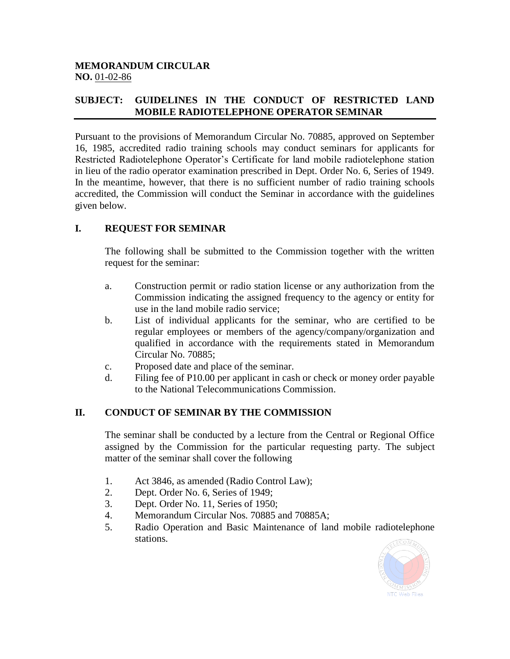#### **MEMORANDUM CIRCULAR NO.** 01-02-86

## **SUBJECT: GUIDELINES IN THE CONDUCT OF RESTRICTED LAND MOBILE RADIOTELEPHONE OPERATOR SEMINAR**

Pursuant to the provisions of Memorandum Circular No. 70885, approved on September 16, 1985, accredited radio training schools may conduct seminars for applicants for Restricted Radiotelephone Operator's Certificate for land mobile radiotelephone station in lieu of the radio operator examination prescribed in Dept. Order No. 6, Series of 1949. In the meantime, however, that there is no sufficient number of radio training schools accredited, the Commission will conduct the Seminar in accordance with the guidelines given below.

## **I. REQUEST FOR SEMINAR**

The following shall be submitted to the Commission together with the written request for the seminar:

- a. Construction permit or radio station license or any authorization from the Commission indicating the assigned frequency to the agency or entity for use in the land mobile radio service;
- b. List of individual applicants for the seminar, who are certified to be regular employees or members of the agency/company/organization and qualified in accordance with the requirements stated in Memorandum Circular No. 70885;
- c. Proposed date and place of the seminar.
- d. Filing fee of P10.00 per applicant in cash or check or money order payable to the National Telecommunications Commission.

#### **II. CONDUCT OF SEMINAR BY THE COMMISSION**

The seminar shall be conducted by a lecture from the Central or Regional Office assigned by the Commission for the particular requesting party. The subject matter of the seminar shall cover the following

- 1. Act 3846, as amended (Radio Control Law);
- 2. Dept. Order No. 6, Series of 1949;
- 3. Dept. Order No. 11, Series of 1950;
- 4. Memorandum Circular Nos. 70885 and 70885A;
- 5. Radio Operation and Basic Maintenance of land mobile radiotelephone stations.